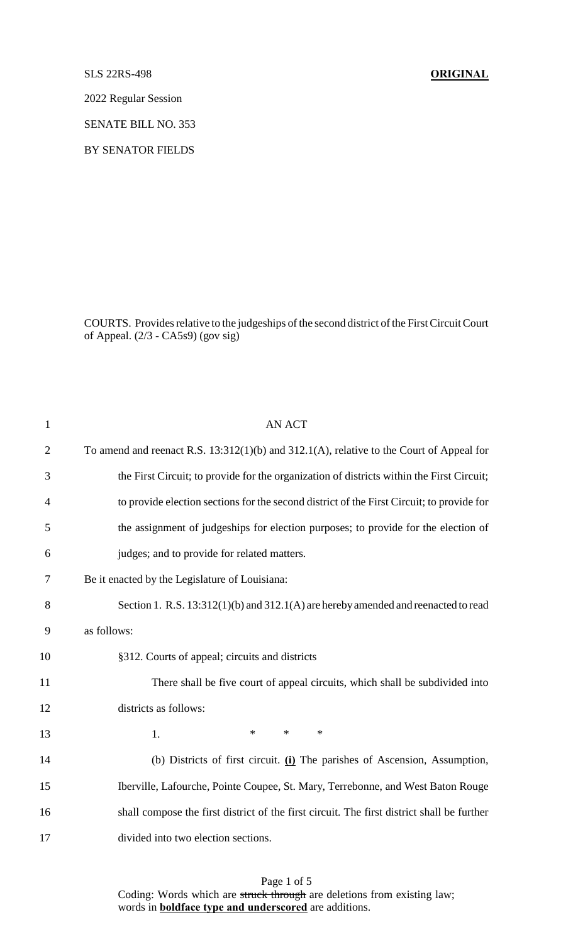#### SLS 22RS-498 **ORIGINAL**

2022 Regular Session

SENATE BILL NO. 353

BY SENATOR FIELDS

COURTS. Provides relative to the judgeships of the second district of the First Circuit Court of Appeal. (2/3 - CA5s9) (gov sig)

| $\mathbf{1}$   | <b>AN ACT</b>                                                                                 |
|----------------|-----------------------------------------------------------------------------------------------|
| $\overline{2}$ | To amend and reenact R.S. $13:312(1)(b)$ and $312.1(A)$ , relative to the Court of Appeal for |
| 3              | the First Circuit; to provide for the organization of districts within the First Circuit;     |
| $\overline{4}$ | to provide election sections for the second district of the First Circuit; to provide for     |
| 5              | the assignment of judgeships for election purposes; to provide for the election of            |
| 6              | judges; and to provide for related matters.                                                   |
| 7              | Be it enacted by the Legislature of Louisiana:                                                |
| 8              | Section 1. R.S. 13:312(1)(b) and 312.1(A) are hereby amended and reenacted to read            |
| 9              | as follows:                                                                                   |
| 10             | §312. Courts of appeal; circuits and districts                                                |
| 11             | There shall be five court of appeal circuits, which shall be subdivided into                  |
| 12             | districts as follows:                                                                         |
| 13             | $\ast$<br>$\ast$<br>$\ast$<br>1.                                                              |
| 14             | (b) Districts of first circuit. (i) The parishes of Ascension, Assumption,                    |
| 15             | Iberville, Lafourche, Pointe Coupee, St. Mary, Terrebonne, and West Baton Rouge               |
| 16             | shall compose the first district of the first circuit. The first district shall be further    |
| 17             | divided into two election sections.                                                           |
|                |                                                                                               |

Page 1 of 5 Coding: Words which are struck through are deletions from existing law; words in **boldface type and underscored** are additions.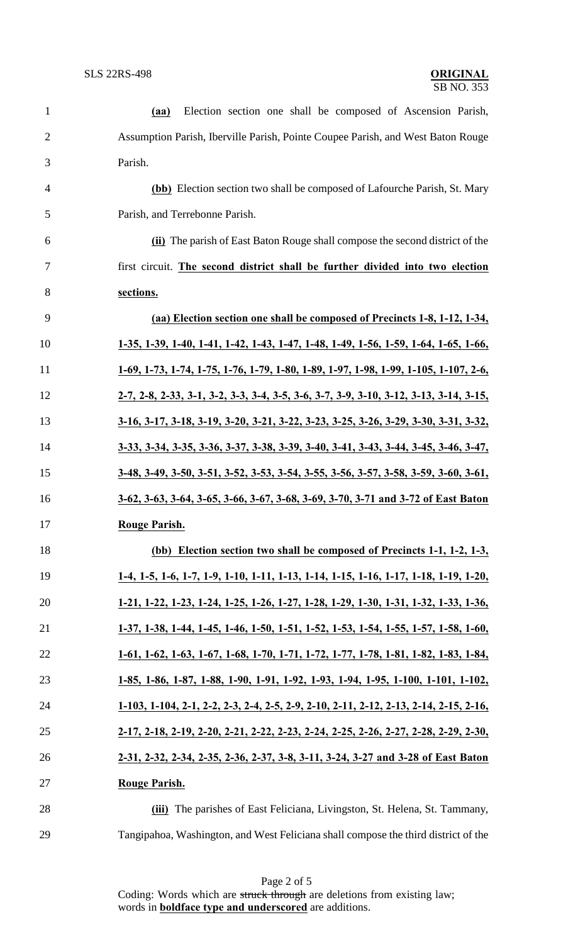| $\mathbf{1}$   | Election section one shall be composed of Ascension Parish,<br>(aa)                                                            |
|----------------|--------------------------------------------------------------------------------------------------------------------------------|
| $\overline{2}$ | Assumption Parish, Iberville Parish, Pointe Coupee Parish, and West Baton Rouge                                                |
| 3              | Parish.                                                                                                                        |
| 4              | (bb) Election section two shall be composed of Lafourche Parish, St. Mary                                                      |
| 5              | Parish, and Terrebonne Parish.                                                                                                 |
| 6              | (ii) The parish of East Baton Rouge shall compose the second district of the                                                   |
| 7              | first circuit. The second district shall be further divided into two election                                                  |
| 8              | sections.                                                                                                                      |
| 9              | (aa) Election section one shall be composed of Precincts 1-8, 1-12, 1-34,                                                      |
| 10             | 1-35, 1-39, 1-40, 1-41, 1-42, 1-43, 1-47, 1-48, 1-49, 1-56, 1-59, 1-64, 1-65, 1-66,                                            |
| 11             | $1-69$ , $1-73$ , $1-74$ , $1-75$ , $1-76$ , $1-79$ , $1-80$ , $1-89$ , $1-97$ , $1-98$ , $1-99$ , $1-105$ , $1-107$ , $2-6$ , |
| 12             | 2-7, 2-8, 2-33, 3-1, 3-2, 3-3, 3-4, 3-5, 3-6, 3-7, 3-9, 3-10, 3-12, 3-13, 3-14, 3-15,                                          |
| 13             | 3-16, 3-17, 3-18, 3-19, 3-20, 3-21, 3-22, 3-23, 3-25, 3-26, 3-29, 3-30, 3-31, 3-32,                                            |
| 14             | 3-33, 3-34, 3-35, 3-36, 3-37, 3-38, 3-39, 3-40, 3-41, 3-43, 3-44, 3-45, 3-46, 3-47,                                            |
| 15             | 3-48, 3-49, 3-50, 3-51, 3-52, 3-53, 3-54, 3-55, 3-56, 3-57, 3-58, 3-59, 3-60, 3-61,                                            |
| 16             | 3-62, 3-63, 3-64, 3-65, 3-66, 3-67, 3-68, 3-69, 3-70, 3-71 and 3-72 of East Baton                                              |
| 17             | <b>Rouge Parish.</b>                                                                                                           |
| 18             | (bb) Election section two shall be composed of Precincts 1-1, 1-2, 1-3,                                                        |
| 19             | 1-4, 1-5, 1-6, 1-7, 1-9, 1-10, 1-11, 1-13, 1-14, 1-15, 1-16, 1-17, 1-18, 1-19, 1-20,                                           |
| 20             | 1-21, 1-22, 1-23, 1-24, 1-25, 1-26, 1-27, 1-28, 1-29, 1-30, 1-31, 1-32, 1-33, 1-36,                                            |
| 21             | 1-37, 1-38, 1-44, 1-45, 1-46, 1-50, 1-51, 1-52, 1-53, 1-54, 1-55, 1-57, 1-58, 1-60,                                            |
| 22             | 1-61, 1-62, 1-63, 1-67, 1-68, 1-70, 1-71, 1-72, 1-77, 1-78, 1-81, 1-82, 1-83, 1-84,                                            |
| 23             | 1-85, 1-86, 1-87, 1-88, 1-90, 1-91, 1-92, 1-93, 1-94, 1-95, 1-100, 1-101, 1-102,                                               |
| 24             | 1-103, 1-104, 2-1, 2-2, 2-3, 2-4, 2-5, 2-9, 2-10, 2-11, 2-12, 2-13, 2-14, 2-15, 2-16,                                          |
| 25             | 2-17, 2-18, 2-19, 2-20, 2-21, 2-22, 2-23, 2-24, 2-25, 2-26, 2-27, 2-28, 2-29, 2-30,                                            |
| 26             | 2-31, 2-32, 2-34, 2-35, 2-36, 2-37, 3-8, 3-11, 3-24, 3-27 and 3-28 of East Baton                                               |
| 27             | Rouge Parish.                                                                                                                  |
| 28             | (iii) The parishes of East Feliciana, Livingston, St. Helena, St. Tammany,                                                     |
| 29             | Tangipahoa, Washington, and West Feliciana shall compose the third district of the                                             |

Page 2 of 5 Coding: Words which are struck through are deletions from existing law; words in **boldface type and underscored** are additions.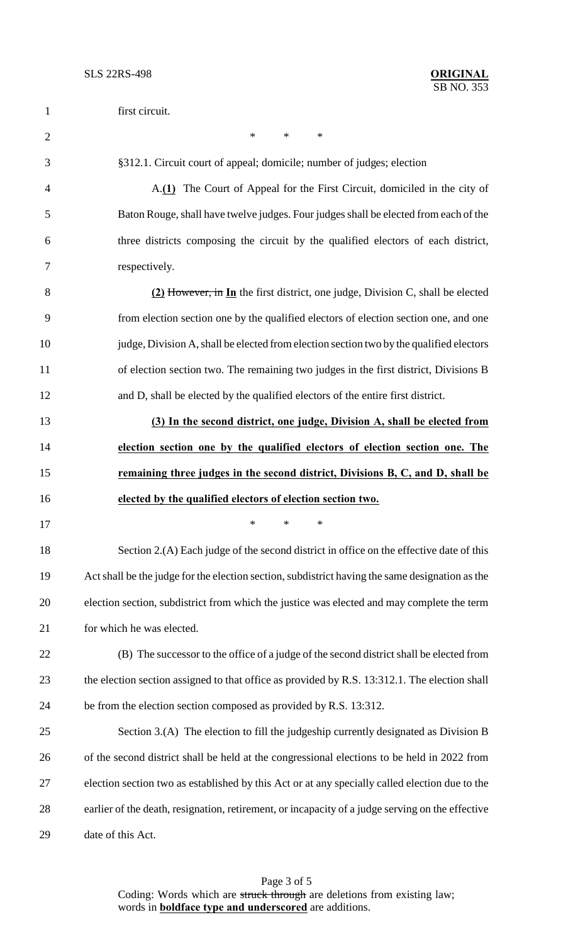| $\mathbf{1}$   | first circuit.                                                                                   |
|----------------|--------------------------------------------------------------------------------------------------|
| $\mathfrak{2}$ | $\ast$<br>$\ast$<br>$\ast$                                                                       |
| 3              | §312.1. Circuit court of appeal; domicile; number of judges; election                            |
| $\overline{4}$ | A.(1) The Court of Appeal for the First Circuit, domiciled in the city of                        |
| 5              | Baton Rouge, shall have twelve judges. Four judges shall be elected from each of the             |
| 6              | three districts composing the circuit by the qualified electors of each district,                |
| 7              | respectively.                                                                                    |
| 8              | (2) However, in In the first district, one judge, Division C, shall be elected                   |
| 9              | from election section one by the qualified electors of election section one, and one             |
| 10             | judge, Division A, shall be elected from election section two by the qualified electors          |
| 11             | of election section two. The remaining two judges in the first district, Divisions B             |
| 12             | and D, shall be elected by the qualified electors of the entire first district.                  |
| 13             | (3) In the second district, one judge, Division A, shall be elected from                         |
| 14             | election section one by the qualified electors of election section one. The                      |
| 15             | remaining three judges in the second district, Divisions B, C, and D, shall be                   |
| 16             | elected by the qualified electors of election section two.                                       |
| 17             |                                                                                                  |
| 18             | Section 2.(A) Each judge of the second district in office on the effective date of this          |
| 19             | Act shall be the judge for the election section, subdistrict having the same designation as the  |
| 20             | election section, subdistrict from which the justice was elected and may complete the term       |
| 21             | for which he was elected.                                                                        |
| 22             | (B) The successor to the office of a judge of the second district shall be elected from          |
| 23             | the election section assigned to that office as provided by R.S. 13:312.1. The election shall    |
| 24             | be from the election section composed as provided by R.S. 13:312.                                |
| 25             | Section 3.(A) The election to fill the judgeship currently designated as Division B              |
| 26             | of the second district shall be held at the congressional elections to be held in 2022 from      |
| 27             | election section two as established by this Act or at any specially called election due to the   |
| 28             | earlier of the death, resignation, retirement, or incapacity of a judge serving on the effective |
| 29             | date of this Act.                                                                                |

Page 3 of 5 Coding: Words which are struck through are deletions from existing law; words in **boldface type and underscored** are additions.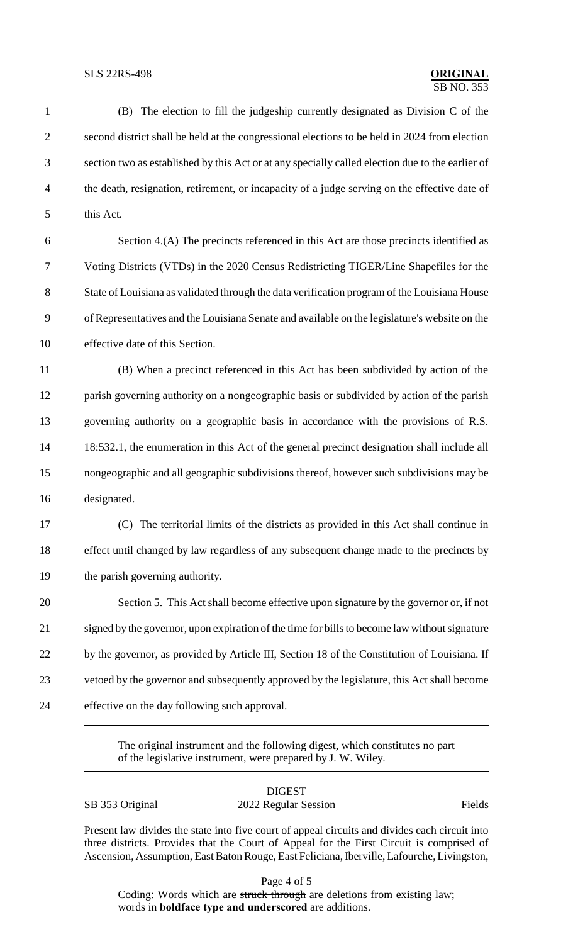1 (B) The election to fill the judgeship currently designated as Division C of the 2 second district shall be held at the congressional elections to be held in 2024 from election 3 section two as established by this Act or at any specially called election due to the earlier of 4 the death, resignation, retirement, or incapacity of a judge serving on the effective date of 5 this Act. 6 Section 4.(A) The precincts referenced in this Act are those precincts identified as 7 Voting Districts (VTDs) in the 2020 Census Redistricting TIGER/Line Shapefiles for the 8 State of Louisiana as validated through the data verification program of the Louisiana House 9 of Representatives and the Louisiana Senate and available on the legislature's website on the 10 effective date of this Section. 11 (B) When a precinct referenced in this Act has been subdivided by action of the 12 parish governing authority on a nongeographic basis or subdivided by action of the parish 13 governing authority on a geographic basis in accordance with the provisions of R.S. 14 18:532.1, the enumeration in this Act of the general precinct designation shall include all 15 nongeographic and all geographic subdivisions thereof, however such subdivisions may be 16 designated. 17 (C) The territorial limits of the districts as provided in this Act shall continue in 18 effect until changed by law regardless of any subsequent change made to the precincts by 19 the parish governing authority. 20 Section 5. This Act shall become effective upon signature by the governor or, if not 21 signed by the governor, upon expiration of the time for bills to become law without signature 22 by the governor, as provided by Article III, Section 18 of the Constitution of Louisiana. If 23 vetoed by the governor and subsequently approved by the legislature, this Act shall become 24 effective on the day following such approval.

> The original instrument and the following digest, which constitutes no part of the legislative instrument, were prepared by J. W. Wiley.

DIGEST SB 353 Original 2022 Regular Session Fields

Present law divides the state into five court of appeal circuits and divides each circuit into three districts. Provides that the Court of Appeal for the First Circuit is comprised of Ascension, Assumption, East Baton Rouge, East Feliciana, Iberville, Lafourche, Livingston,

Page 4 of 5

Coding: Words which are struck through are deletions from existing law; words in **boldface type and underscored** are additions.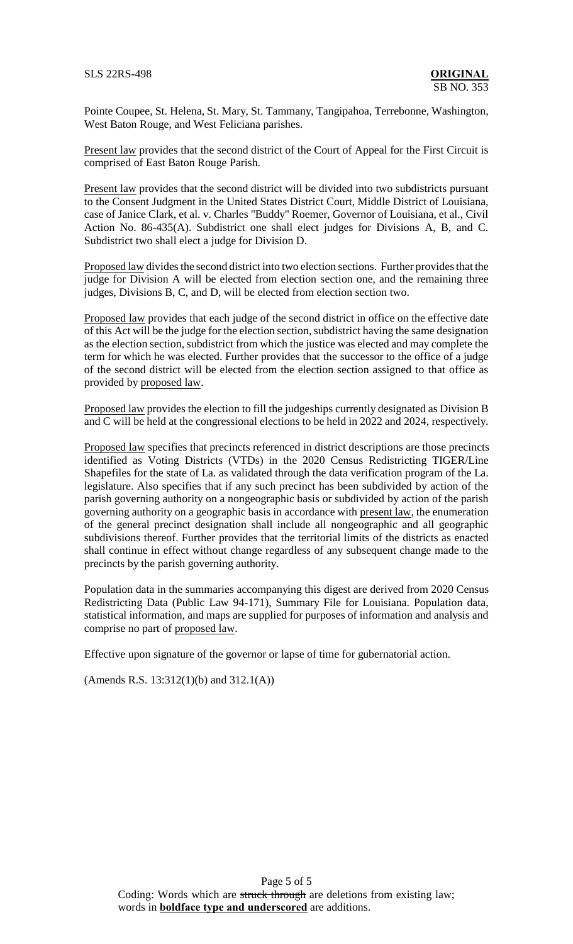Pointe Coupee, St. Helena, St. Mary, St. Tammany, Tangipahoa, Terrebonne, Washington, West Baton Rouge, and West Feliciana parishes.

Present law provides that the second district of the Court of Appeal for the First Circuit is comprised of East Baton Rouge Parish.

Present law provides that the second district will be divided into two subdistricts pursuant to the Consent Judgment in the United States District Court, Middle District of Louisiana, case of Janice Clark, et al. v. Charles "Buddy" Roemer, Governor of Louisiana, et al., Civil Action No. 86-435(A). Subdistrict one shall elect judges for Divisions A, B, and C. Subdistrict two shall elect a judge for Division D.

Proposed law divides the second district into two election sections. Further provides that the judge for Division A will be elected from election section one, and the remaining three judges, Divisions B, C, and D, will be elected from election section two.

Proposed law provides that each judge of the second district in office on the effective date of this Act will be the judge for the election section, subdistrict having the same designation as the election section, subdistrict from which the justice was elected and may complete the term for which he was elected. Further provides that the successor to the office of a judge of the second district will be elected from the election section assigned to that office as provided by proposed law.

Proposed law provides the election to fill the judgeships currently designated as Division B and C will be held at the congressional elections to be held in 2022 and 2024, respectively.

Proposed law specifies that precincts referenced in district descriptions are those precincts identified as Voting Districts (VTDs) in the 2020 Census Redistricting TIGER/Line Shapefiles for the state of La. as validated through the data verification program of the La. legislature. Also specifies that if any such precinct has been subdivided by action of the parish governing authority on a nongeographic basis or subdivided by action of the parish governing authority on a geographic basis in accordance with present law, the enumeration of the general precinct designation shall include all nongeographic and all geographic subdivisions thereof. Further provides that the territorial limits of the districts as enacted shall continue in effect without change regardless of any subsequent change made to the precincts by the parish governing authority.

Population data in the summaries accompanying this digest are derived from 2020 Census Redistricting Data (Public Law 94-171), Summary File for Louisiana. Population data, statistical information, and maps are supplied for purposes of information and analysis and comprise no part of proposed law.

Effective upon signature of the governor or lapse of time for gubernatorial action.

(Amends R.S. 13:312(1)(b) and 312.1(A))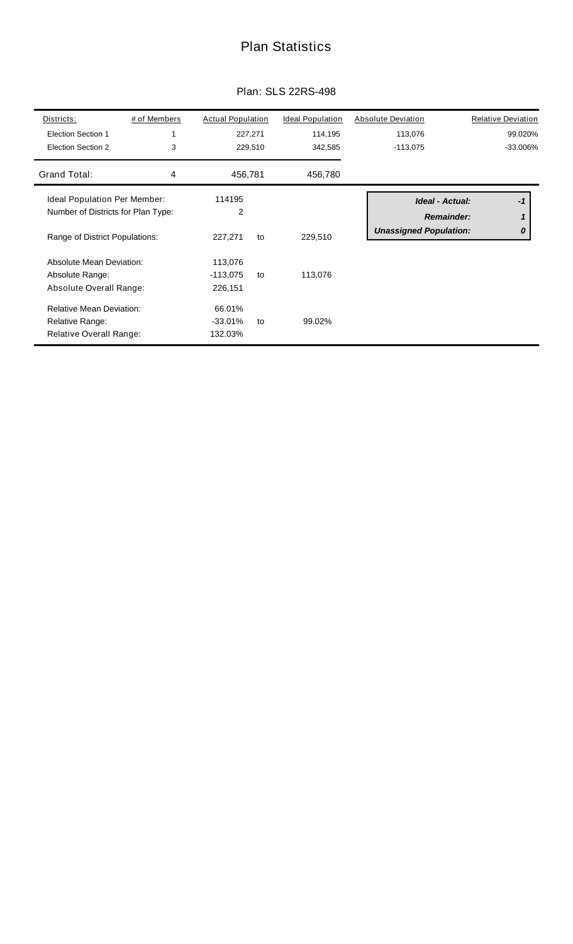## Plan Statistics

| Districts:<br><b>Election Section 1</b><br>Election Section 2                                        | # of Members<br>3 | <b>Actual Population</b>         | 227,271<br>229,510 | <b>Ideal Population</b><br>114,195<br>342,585 | <b>Absolute Deviation</b><br>113,076<br>$-113,075$ |                                      | <b>Relative Deviation</b><br>99.020%<br>-33.006% |
|------------------------------------------------------------------------------------------------------|-------------------|----------------------------------|--------------------|-----------------------------------------------|----------------------------------------------------|--------------------------------------|--------------------------------------------------|
| Grand Total:                                                                                         | 4                 | 456,781                          |                    | 456,780                                       |                                                    |                                      |                                                  |
| Ideal Population Per Member:<br>Number of Districts for Plan Type:<br>Range of District Populations: |                   | 114195<br>2<br>227,271           | to                 | 229,510                                       | <b>Unassigned Population:</b>                      | Ideal - Actual:<br><b>Remainder:</b> | $-1$<br>1<br>0                                   |
| Absolute Mean Deviation:<br>Absolute Range:<br>Absolute Overall Range:                               |                   | 113,076<br>$-113,075$<br>226,151 | to                 | 113,076                                       |                                                    |                                      |                                                  |
| <b>Relative Mean Deviation:</b><br>Relative Range:<br>Relative Overall Range:                        |                   | 66.01%<br>$-33.01%$<br>132.03%   | to                 | 99.02%                                        |                                                    |                                      |                                                  |

### Plan: SLS 22RS-498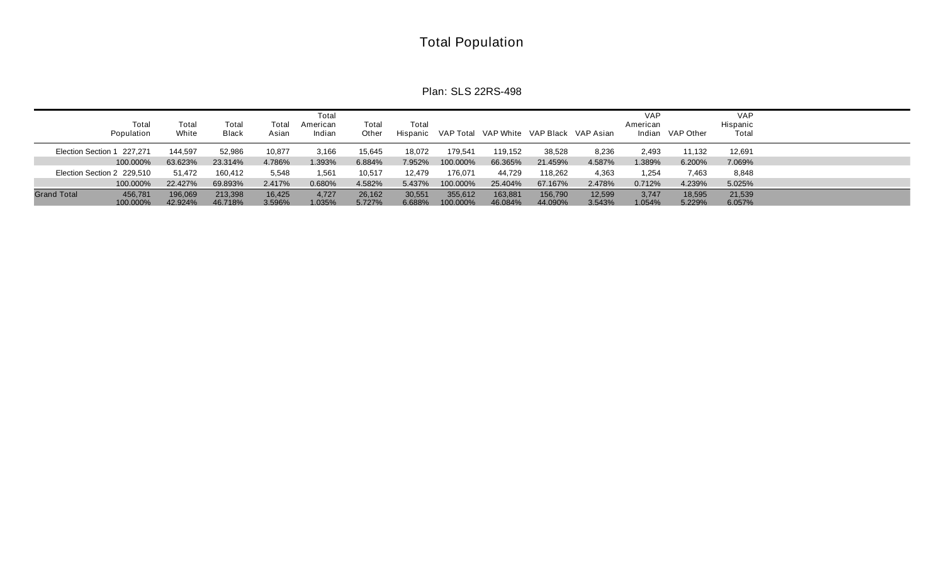# Total Population

Plan: SLS 22RS-498

| Total<br>Population                       | Total<br>White     | Total<br>Black     | Total<br>Asian   | Total<br>American<br>Indian | Total<br>Other   | Total            |                     |                    |                    | Hispanic VAP Total VAP White VAP Black VAP Asian | <b>VAP</b><br>American | Indian VAP Other | <b>VAP</b><br>Hispanic<br>Total |  |
|-------------------------------------------|--------------------|--------------------|------------------|-----------------------------|------------------|------------------|---------------------|--------------------|--------------------|--------------------------------------------------|------------------------|------------------|---------------------------------|--|
| Election Section 1 227,271                | 144.597            | 52,986             | 10,877           | 3,166                       | 15,645           | 18,072           | 179,541             | 119,152            | 38,528             | 8,236                                            | 2,493                  | 11,132           | 12,691                          |  |
| 100.000%                                  | 63.623%            | 23.314%            | 4.786%           | 1.393%                      | 6.884%           | 7.952%           | 100.000%            | 66.365%            | 21.459%            | 4.587%                                           | 1.389%                 | 6.200%           | 7.069%                          |  |
| Election Section 2 229,510                | 51,472             | 160,412            | 5,548            | 1,561                       | 10,517           | 12,479           | 176,071             | 44,729             | 118,262            | 4,363                                            | 1.254                  | 7,463            | 8,848                           |  |
| 100.000%                                  | 22.427%            | 69.893%            | 2.417%           | 0.680%                      | 4.582%           | 5.437%           | 100.000%            | 25.404%            | 67.167%            | 2.478%                                           | 0.712%                 | 4.239%           | 5.025%                          |  |
| <b>Grand Total</b><br>456.781<br>100.000% | 196.069<br>42.924% | 213,398<br>46.718% | 16,425<br>3.596% | 4,727<br>1.035%             | 26,162<br>5.727% | 30,551<br>6.688% | 355.612<br>100.000% | 163.881<br>46.084% | 156.790<br>44.090% | 12.599<br>3.543%                                 | 3.747<br>1.054%        | 18.595<br>5.229% | 21,539<br>6.057%                |  |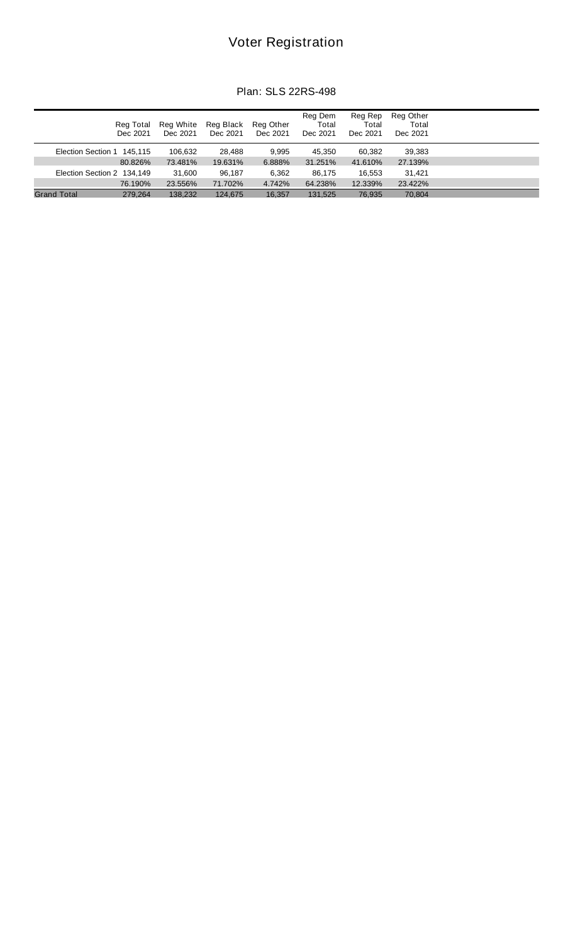## Voter Registration

|  |  | Plan: SLS 22RS-498 |
|--|--|--------------------|
|--|--|--------------------|

|                            | Reg Total<br>Dec 2021 | Reg White<br>Dec 2021 | Reg Black<br>Dec 2021 | Reg Other<br>Dec 2021 | Reg Dem<br>Total<br>Dec 2021 | Reg Rep<br>Total<br>Dec 2021 | Reg Other<br>Total<br>Dec 2021 |  |
|----------------------------|-----------------------|-----------------------|-----------------------|-----------------------|------------------------------|------------------------------|--------------------------------|--|
| Election Section 1 145,115 |                       | 106.632               | 28.488                | 9.995                 | 45.350                       | 60.382                       | 39,383                         |  |
|                            | 80.826%               | 73.481%               | 19.631%               | 6.888%                | 31.251%                      | 41.610%                      | 27.139%                        |  |
| Election Section 2 134,149 |                       | 31.600                | 96.187                | 6,362                 | 86.175                       | 16.553                       | 31.421                         |  |
|                            | 76.190%               | 23.556%               | 71.702%               | 4.742%                | 64.238%                      | 12.339%                      | 23.422%                        |  |
| <b>Grand Total</b>         | 279.264               | 138.232               | 124.675               | 16.357                | 131.525                      | 76,935                       | 70.804                         |  |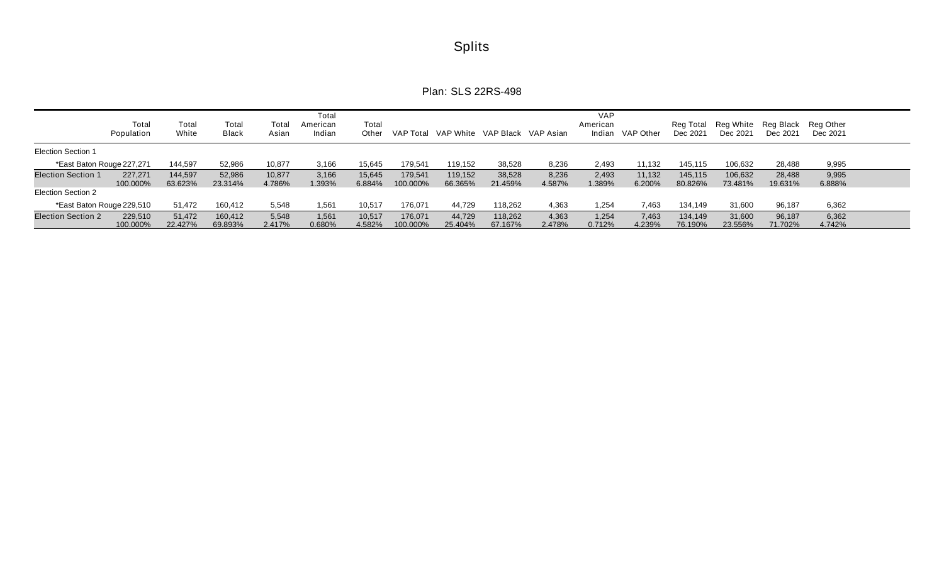| <b>Splits</b> |
|---------------|
|---------------|

Plan: SLS 22RS-498

|                           | Total<br>Population | Total<br>White     | Total<br><b>Black</b> | Tota<br>Asian    | Total<br>American<br>Indian | Total<br>Other   | VAP Total           |                    |                    | VAP White VAP Black VAP Asian | <b>VAP</b><br>American<br>Indian | VAP Other        | Rea Total<br>Dec 2021 | Reg White Reg Black Reg Other<br>Dec 2021 | Dec 2021          | Dec 2021        |  |
|---------------------------|---------------------|--------------------|-----------------------|------------------|-----------------------------|------------------|---------------------|--------------------|--------------------|-------------------------------|----------------------------------|------------------|-----------------------|-------------------------------------------|-------------------|-----------------|--|
| <b>Election Section 1</b> |                     |                    |                       |                  |                             |                  |                     |                    |                    |                               |                                  |                  |                       |                                           |                   |                 |  |
| *East Baton Rouge 227,271 |                     | 144,597            | 52,986                | 10,877           | 3,166                       | 15,645           | 179,541             | 119,152            | 38,528             | 8,236                         | 2,493                            | 11,132           | 145,115               | 106,632                                   | 28,488            | 9,995           |  |
| <b>Election Section 1</b> | 227.271<br>100.000% | 144,597<br>63.623% | 52,986<br>23.314%     | 10,877<br>4.786% | 3,166<br>1.393%             | 15,645<br>6.884% | 179.541<br>100.000% | 119.152<br>66.365% | 38,528<br>21.459%  | 8,236<br>4.587%               | 2,493<br>1.389%                  | 11,132<br>6.200% | 145,115<br>80.826%    | 106,632<br>73.481%                        | 28,488<br>19.631% | 9,995<br>6.888% |  |
| Election Section 2        |                     |                    |                       |                  |                             |                  |                     |                    |                    |                               |                                  |                  |                       |                                           |                   |                 |  |
| *East Baton Rouge 229,510 |                     | 51,472             | 160,412               | 5,548            | 561. ا                      | 10,517           | 176,071             | 44,729             | 118,262            | 4,363                         | 1,254                            | 7,463            | 134,149               | 31,600                                    | 96,187            | 6,362           |  |
| <b>Election Section 2</b> | 229,510<br>100.000% | 51.472<br>22.427%  | 160,412<br>69.893%    | 5,548<br>2.417%  | 1,561<br>0.680%             | 10,517<br>4.582% | 176.071<br>100.000% | 44.729<br>25.404%  | 118,262<br>67.167% | 4,363<br>2.478%               | 1,254<br>0.712%                  | 7,463<br>4.239%  | 134,149<br>76.190%    | 31,600<br>23.556%                         | 96,187<br>71.702% | 6,362<br>4.742% |  |